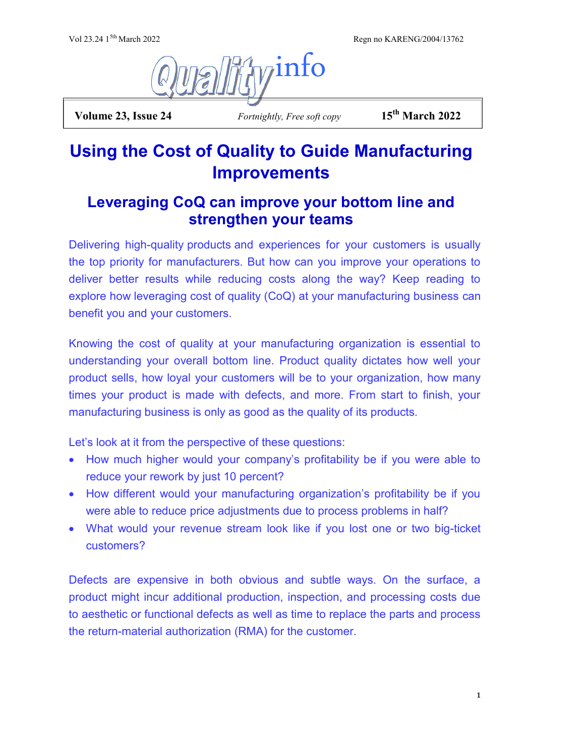Regn no KARENG/2004/13762



 **Volume 23, Issue 24** *Fortnightly, Free soft copy* **15th March 2022**

# **Using the Cost of Quality to Guide Manufacturing Improvements**

# **Leveraging CoQ can improve your bottom line and strengthen your teams**

Delivering high-quality products and experiences for your customers is usually the top priority for manufacturers. But how can you improve your operations to deliver better results while reducing costs along the way? Keep reading to explore how leveraging cost of quality (CoQ) at your manufacturing business can benefit you and your customers.

Knowing the cost of quality at your manufacturing organization is essential to understanding your overall bottom line. Product quality dictates how well your product sells, how loyal your customers will be to your organization, how many times your product is made with defects, and more. From start to finish, your manufacturing business is only as good as the quality of its products.

Let's look at it from the perspective of these questions:

- How much higher would your company's profitability be if you were able to reduce your rework by just 10 percent?
- How different would your manufacturing organization's profitability be if you were able to reduce price adjustments due to process problems in half?
- What would your revenue stream look like if you lost one or two big-ticket customers?

Defects are expensive in both obvious and subtle ways. On the surface, a product might incur additional production, inspection, and processing costs due to aesthetic or functional defects as well as time to replace the parts and process the return-material authorization (RMA) for the customer.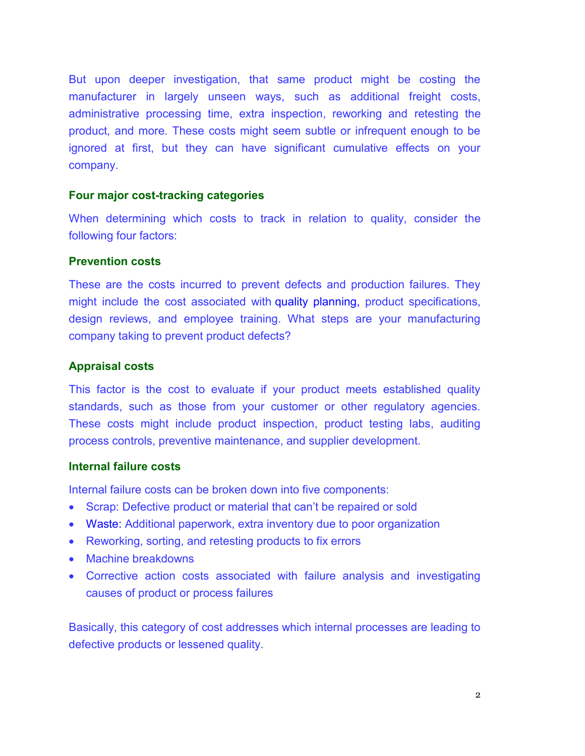But upon deeper investigation, that same product might be costing the manufacturer in largely unseen ways, such as additional freight costs, administrative processing time, extra inspection, reworking and retesting the product, and more. These costs might seem subtle or infrequent enough to be ignored at first, but they can have significant cumulative effects on your company.

#### **Four major cost-tracking categories**

When determining which costs to track in relation to quality, consider the following four factors:

#### **Prevention costs**

These are the costs incurred to prevent defects and production failures. They might include the cost associated with quality planning, product specifications, design reviews, and employee training. What steps are your manufacturing company taking to prevent product defects?

#### **Appraisal costs**

This factor is the cost to evaluate if your product meets established quality standards, such as those from your customer or other regulatory agencies. These costs might include product inspection, product testing labs, auditing process controls, preventive maintenance, and supplier development.

#### **Internal failure costs**

Internal failure costs can be broken down into five components:

- Scrap: Defective product or material that can't be repaired or sold
- Waste: Additional paperwork, extra inventory due to poor organization
- Reworking, sorting, and retesting products to fix errors
- Machine breakdowns
- Corrective action costs associated with failure analysis and investigating causes of product or process failures

Basically, this category of cost addresses which internal processes are leading to defective products or lessened quality.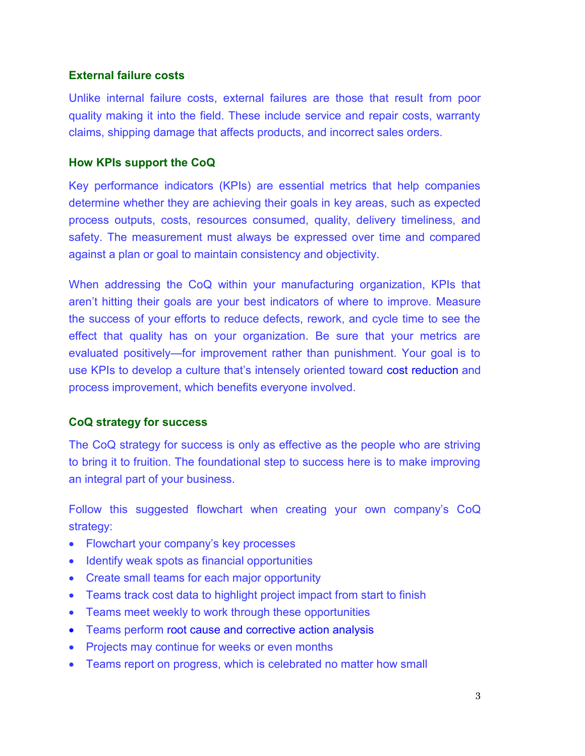## **External failure costs**

Unlike internal failure costs, external failures are those that result from poor quality making it into the field. These include service and repair costs, warranty claims, shipping damage that affects products, and incorrect sales orders.

# **How KPIs support the CoQ**

Key performance indicators (KPIs) are essential metrics that help companies determine whether they are achieving their goals in key areas, such as expected process outputs, costs, resources consumed, quality, delivery timeliness, and safety. The measurement must always be expressed over time and compared against a plan or goal to maintain consistency and objectivity.

When addressing the CoQ within your manufacturing organization, KPIs that aren't hitting their goals are your best indicators of where to improve. Measure the success of your efforts to reduce defects, rework, and cycle time to see the effect that quality has on your organization. Be sure that your metrics are evaluated positively—for improvement rather than punishment. Your goal is to use KPIs to develop a culture that's intensely oriented toward cost reduction and process improvement, which benefits everyone involved.

# **CoQ strategy for success**

The CoQ strategy for success is only as effective as the people who are striving to bring it to fruition. The foundational step to success here is to make improving an integral part of your business.

Follow this suggested flowchart when creating your own company's CoQ strategy:

- Flowchart your company's key processes
- Identify weak spots as financial opportunities
- Create small teams for each major opportunity
- Teams track cost data to highlight project impact from start to finish
- Teams meet weekly to work through these opportunities
- Teams perform root cause and corrective action analysis
- Projects may continue for weeks or even months
- Teams report on progress, which is celebrated no matter how small